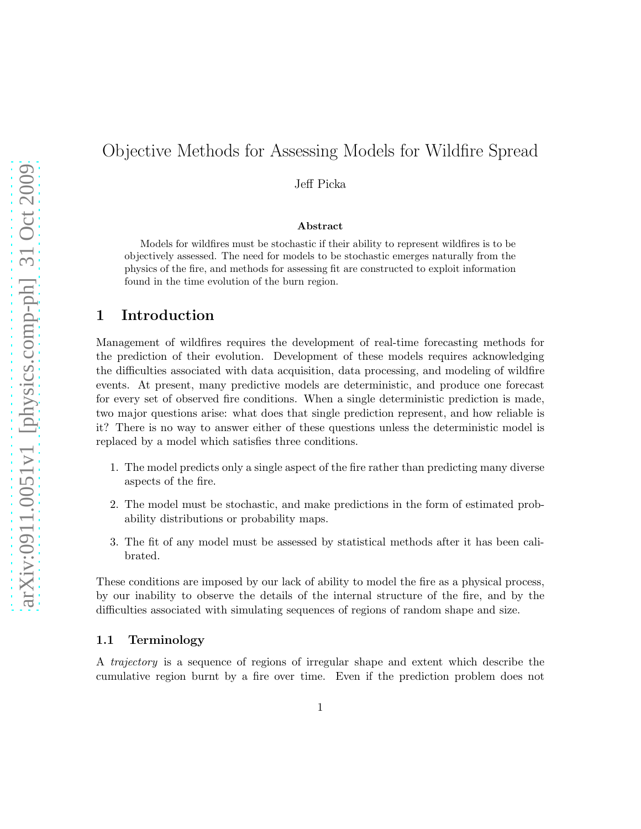# Objective Methods for Assessing Models for Wildfire Spread

Jeff Picka

#### Abstract

Models for wildfires must be stochastic if their ability to represent wildfires is to be objectively assessed. The need for models to be stochastic emerges naturally from the physics of the fire, and methods for assessing fit are constructed to exploit information found in the time evolution of the burn region.

# 1 Introduction

Management of wildfires requires the development of real-time forecasting methods for the prediction of their evolution. Development of these models requires acknowledging the difficulties associated with data acquisition, data processing, and modeling of wildfire events. At present, many predictive models are deterministic, and produce one forecast for every set of observed fire conditions. When a single deterministic prediction is made, two major questions arise: what does that single prediction represent, and how reliable is it? There is no way to answer either of these questions unless the deterministic model is replaced by a model which satisfies three conditions.

- 1. The model predicts only a single aspect of the fire rather than predicting many diverse aspects of the fire.
- 2. The model must be stochastic, and make predictions in the form of estimated probability distributions or probability maps.
- 3. The fit of any model must be assessed by statistical methods after it has been calibrated.

These conditions are imposed by our lack of ability to model the fire as a physical process, by our inability to observe the details of the internal structure of the fire, and by the difficulties associated with simulating sequences of regions of random shape and size.

#### 1.1 Terminology

A trajectory is a sequence of regions of irregular shape and extent which describe the cumulative region burnt by a fire over time. Even if the prediction problem does not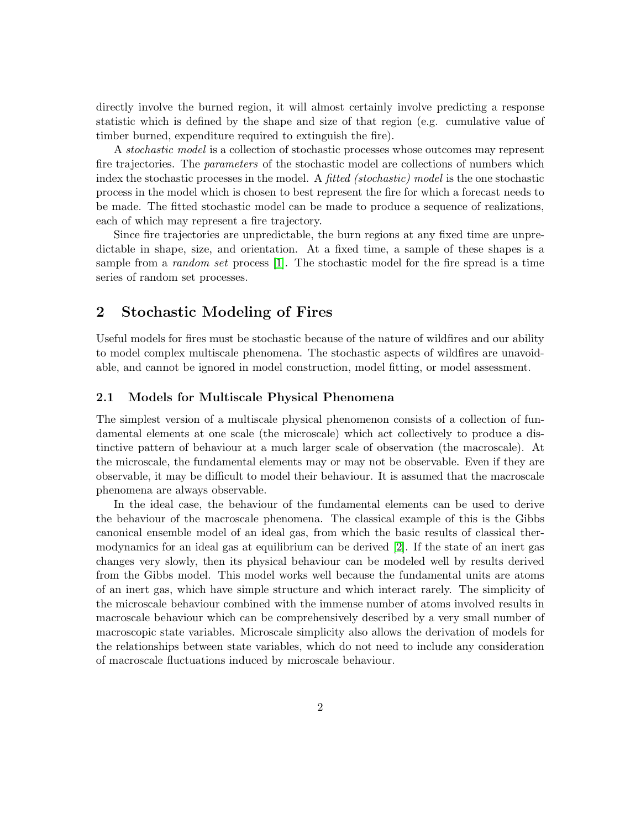directly involve the burned region, it will almost certainly involve predicting a response statistic which is defined by the shape and size of that region (e.g. cumulative value of timber burned, expenditure required to extinguish the fire).

A stochastic model is a collection of stochastic processes whose outcomes may represent fire trajectories. The *parameters* of the stochastic model are collections of numbers which index the stochastic processes in the model. A *fitted (stochastic) model* is the one stochastic process in the model which is chosen to best represent the fire for which a forecast needs to be made. The fitted stochastic model can be made to produce a sequence of realizations, each of which may represent a fire trajectory.

Since fire trajectories are unpredictable, the burn regions at any fixed time are unpredictable in shape, size, and orientation. At a fixed time, a sample of these shapes is a sample from a *random set* process [\[1\]](#page-7-0). The stochastic model for the fire spread is a time series of random set processes.

# 2 Stochastic Modeling of Fires

Useful models for fires must be stochastic because of the nature of wildfires and our ability to model complex multiscale phenomena. The stochastic aspects of wildfires are unavoidable, and cannot be ignored in model construction, model fitting, or model assessment.

#### 2.1 Models for Multiscale Physical Phenomena

The simplest version of a multiscale physical phenomenon consists of a collection of fundamental elements at one scale (the microscale) which act collectively to produce a distinctive pattern of behaviour at a much larger scale of observation (the macroscale). At the microscale, the fundamental elements may or may not be observable. Even if they are observable, it may be difficult to model their behaviour. It is assumed that the macroscale phenomena are always observable.

In the ideal case, the behaviour of the fundamental elements can be used to derive the behaviour of the macroscale phenomena. The classical example of this is the Gibbs canonical ensemble model of an ideal gas, from which the basic results of classical thermodynamics for an ideal gas at equilibrium can be derived [\[2\]](#page-7-1). If the state of an inert gas changes very slowly, then its physical behaviour can be modeled well by results derived from the Gibbs model. This model works well because the fundamental units are atoms of an inert gas, which have simple structure and which interact rarely. The simplicity of the microscale behaviour combined with the immense number of atoms involved results in macroscale behaviour which can be comprehensively described by a very small number of macroscopic state variables. Microscale simplicity also allows the derivation of models for the relationships between state variables, which do not need to include any consideration of macroscale fluctuations induced by microscale behaviour.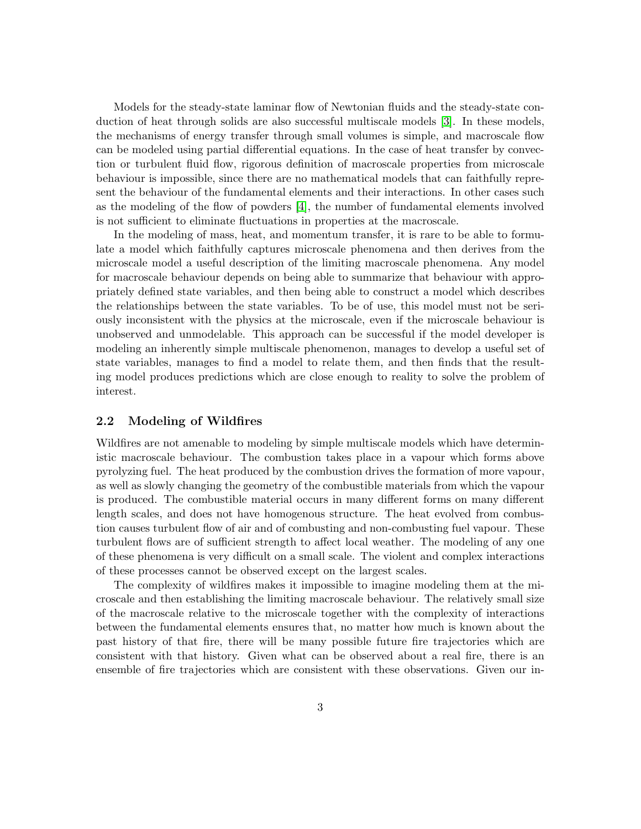Models for the steady-state laminar flow of Newtonian fluids and the steady-state conduction of heat through solids are also successful multiscale models [\[3\]](#page-8-0). In these models, the mechanisms of energy transfer through small volumes is simple, and macroscale flow can be modeled using partial differential equations. In the case of heat transfer by convection or turbulent fluid flow, rigorous definition of macroscale properties from microscale behaviour is impossible, since there are no mathematical models that can faithfully represent the behaviour of the fundamental elements and their interactions. In other cases such as the modeling of the flow of powders [\[4\]](#page-8-1), the number of fundamental elements involved is not sufficient to eliminate fluctuations in properties at the macroscale.

In the modeling of mass, heat, and momentum transfer, it is rare to be able to formulate a model which faithfully captures microscale phenomena and then derives from the microscale model a useful description of the limiting macroscale phenomena. Any model for macroscale behaviour depends on being able to summarize that behaviour with appropriately defined state variables, and then being able to construct a model which describes the relationships between the state variables. To be of use, this model must not be seriously inconsistent with the physics at the microscale, even if the microscale behaviour is unobserved and unmodelable. This approach can be successful if the model developer is modeling an inherently simple multiscale phenomenon, manages to develop a useful set of state variables, manages to find a model to relate them, and then finds that the resulting model produces predictions which are close enough to reality to solve the problem of interest.

#### 2.2 Modeling of Wildfires

Wildfires are not amenable to modeling by simple multiscale models which have deterministic macroscale behaviour. The combustion takes place in a vapour which forms above pyrolyzing fuel. The heat produced by the combustion drives the formation of more vapour, as well as slowly changing the geometry of the combustible materials from which the vapour is produced. The combustible material occurs in many different forms on many different length scales, and does not have homogenous structure. The heat evolved from combustion causes turbulent flow of air and of combusting and non-combusting fuel vapour. These turbulent flows are of sufficient strength to affect local weather. The modeling of any one of these phenomena is very difficult on a small scale. The violent and complex interactions of these processes cannot be observed except on the largest scales.

The complexity of wildfires makes it impossible to imagine modeling them at the microscale and then establishing the limiting macroscale behaviour. The relatively small size of the macroscale relative to the microscale together with the complexity of interactions between the fundamental elements ensures that, no matter how much is known about the past history of that fire, there will be many possible future fire trajectories which are consistent with that history. Given what can be observed about a real fire, there is an ensemble of fire trajectories which are consistent with these observations. Given our in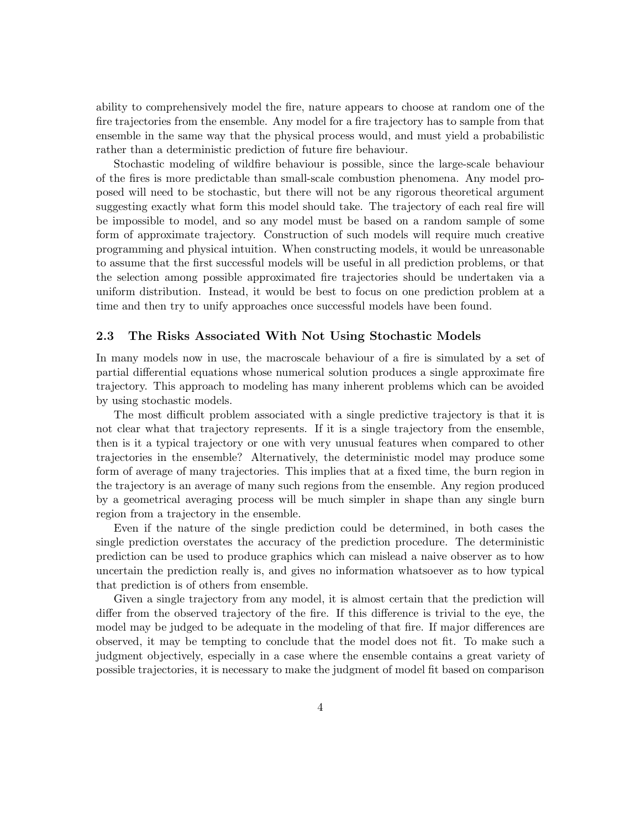ability to comprehensively model the fire, nature appears to choose at random one of the fire trajectories from the ensemble. Any model for a fire trajectory has to sample from that ensemble in the same way that the physical process would, and must yield a probabilistic rather than a deterministic prediction of future fire behaviour.

Stochastic modeling of wildfire behaviour is possible, since the large-scale behaviour of the fires is more predictable than small-scale combustion phenomena. Any model proposed will need to be stochastic, but there will not be any rigorous theoretical argument suggesting exactly what form this model should take. The trajectory of each real fire will be impossible to model, and so any model must be based on a random sample of some form of approximate trajectory. Construction of such models will require much creative programming and physical intuition. When constructing models, it would be unreasonable to assume that the first successful models will be useful in all prediction problems, or that the selection among possible approximated fire trajectories should be undertaken via a uniform distribution. Instead, it would be best to focus on one prediction problem at a time and then try to unify approaches once successful models have been found.

#### 2.3 The Risks Associated With Not Using Stochastic Models

In many models now in use, the macroscale behaviour of a fire is simulated by a set of partial differential equations whose numerical solution produces a single approximate fire trajectory. This approach to modeling has many inherent problems which can be avoided by using stochastic models.

The most difficult problem associated with a single predictive trajectory is that it is not clear what that trajectory represents. If it is a single trajectory from the ensemble, then is it a typical trajectory or one with very unusual features when compared to other trajectories in the ensemble? Alternatively, the deterministic model may produce some form of average of many trajectories. This implies that at a fixed time, the burn region in the trajectory is an average of many such regions from the ensemble. Any region produced by a geometrical averaging process will be much simpler in shape than any single burn region from a trajectory in the ensemble.

Even if the nature of the single prediction could be determined, in both cases the single prediction overstates the accuracy of the prediction procedure. The deterministic prediction can be used to produce graphics which can mislead a naive observer as to how uncertain the prediction really is, and gives no information whatsoever as to how typical that prediction is of others from ensemble.

Given a single trajectory from any model, it is almost certain that the prediction will differ from the observed trajectory of the fire. If this difference is trivial to the eye, the model may be judged to be adequate in the modeling of that fire. If major differences are observed, it may be tempting to conclude that the model does not fit. To make such a judgment objectively, especially in a case where the ensemble contains a great variety of possible trajectories, it is necessary to make the judgment of model fit based on comparison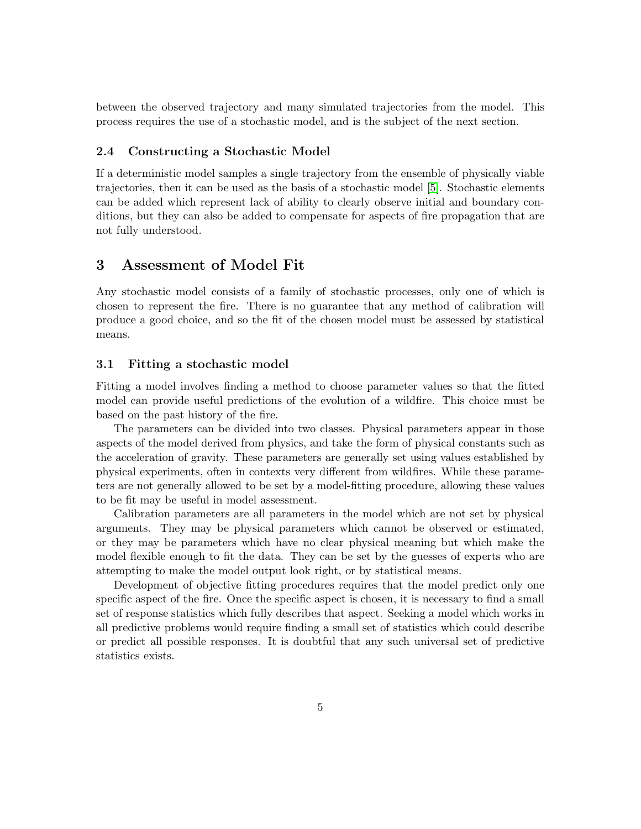between the observed trajectory and many simulated trajectories from the model. This process requires the use of a stochastic model, and is the subject of the next section.

#### 2.4 Constructing a Stochastic Model

If a deterministic model samples a single trajectory from the ensemble of physically viable trajectories, then it can be used as the basis of a stochastic model [\[5\]](#page-8-2). Stochastic elements can be added which represent lack of ability to clearly observe initial and boundary conditions, but they can also be added to compensate for aspects of fire propagation that are not fully understood.

### 3 Assessment of Model Fit

Any stochastic model consists of a family of stochastic processes, only one of which is chosen to represent the fire. There is no guarantee that any method of calibration will produce a good choice, and so the fit of the chosen model must be assessed by statistical means.

#### 3.1 Fitting a stochastic model

Fitting a model involves finding a method to choose parameter values so that the fitted model can provide useful predictions of the evolution of a wildfire. This choice must be based on the past history of the fire.

The parameters can be divided into two classes. Physical parameters appear in those aspects of the model derived from physics, and take the form of physical constants such as the acceleration of gravity. These parameters are generally set using values established by physical experiments, often in contexts very different from wildfires. While these parameters are not generally allowed to be set by a model-fitting procedure, allowing these values to be fit may be useful in model assessment.

Calibration parameters are all parameters in the model which are not set by physical arguments. They may be physical parameters which cannot be observed or estimated, or they may be parameters which have no clear physical meaning but which make the model flexible enough to fit the data. They can be set by the guesses of experts who are attempting to make the model output look right, or by statistical means.

Development of objective fitting procedures requires that the model predict only one specific aspect of the fire. Once the specific aspect is chosen, it is necessary to find a small set of response statistics which fully describes that aspect. Seeking a model which works in all predictive problems would require finding a small set of statistics which could describe or predict all possible responses. It is doubtful that any such universal set of predictive statistics exists.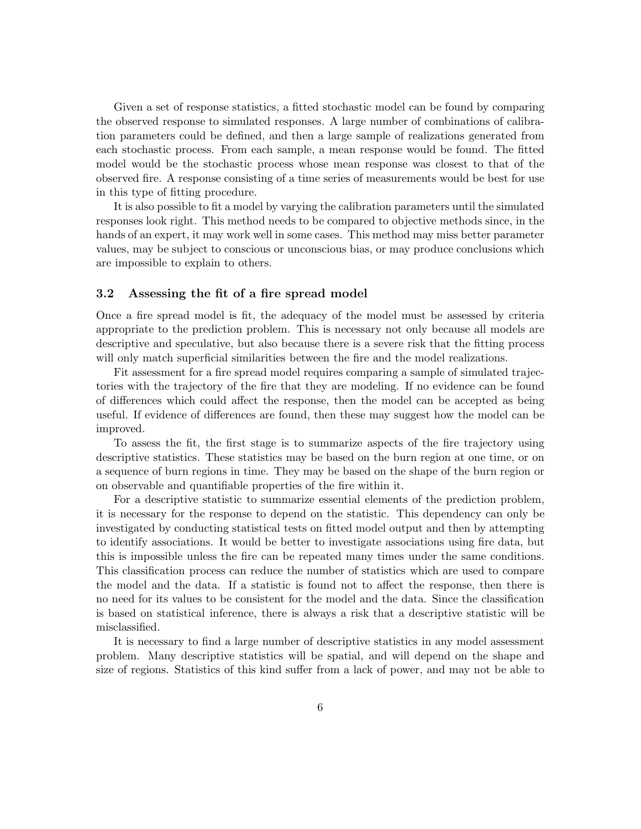Given a set of response statistics, a fitted stochastic model can be found by comparing the observed response to simulated responses. A large number of combinations of calibration parameters could be defined, and then a large sample of realizations generated from each stochastic process. From each sample, a mean response would be found. The fitted model would be the stochastic process whose mean response was closest to that of the observed fire. A response consisting of a time series of measurements would be best for use in this type of fitting procedure.

It is also possible to fit a model by varying the calibration parameters until the simulated responses look right. This method needs to be compared to objective methods since, in the hands of an expert, it may work well in some cases. This method may miss better parameter values, may be subject to conscious or unconscious bias, or may produce conclusions which are impossible to explain to others.

#### 3.2 Assessing the fit of a fire spread model

Once a fire spread model is fit, the adequacy of the model must be assessed by criteria appropriate to the prediction problem. This is necessary not only because all models are descriptive and speculative, but also because there is a severe risk that the fitting process will only match superficial similarities between the fire and the model realizations.

Fit assessment for a fire spread model requires comparing a sample of simulated trajectories with the trajectory of the fire that they are modeling. If no evidence can be found of differences which could affect the response, then the model can be accepted as being useful. If evidence of differences are found, then these may suggest how the model can be improved.

To assess the fit, the first stage is to summarize aspects of the fire trajectory using descriptive statistics. These statistics may be based on the burn region at one time, or on a sequence of burn regions in time. They may be based on the shape of the burn region or on observable and quantifiable properties of the fire within it.

For a descriptive statistic to summarize essential elements of the prediction problem, it is necessary for the response to depend on the statistic. This dependency can only be investigated by conducting statistical tests on fitted model output and then by attempting to identify associations. It would be better to investigate associations using fire data, but this is impossible unless the fire can be repeated many times under the same conditions. This classification process can reduce the number of statistics which are used to compare the model and the data. If a statistic is found not to affect the response, then there is no need for its values to be consistent for the model and the data. Since the classification is based on statistical inference, there is always a risk that a descriptive statistic will be misclassified.

It is necessary to find a large number of descriptive statistics in any model assessment problem. Many descriptive statistics will be spatial, and will depend on the shape and size of regions. Statistics of this kind suffer from a lack of power, and may not be able to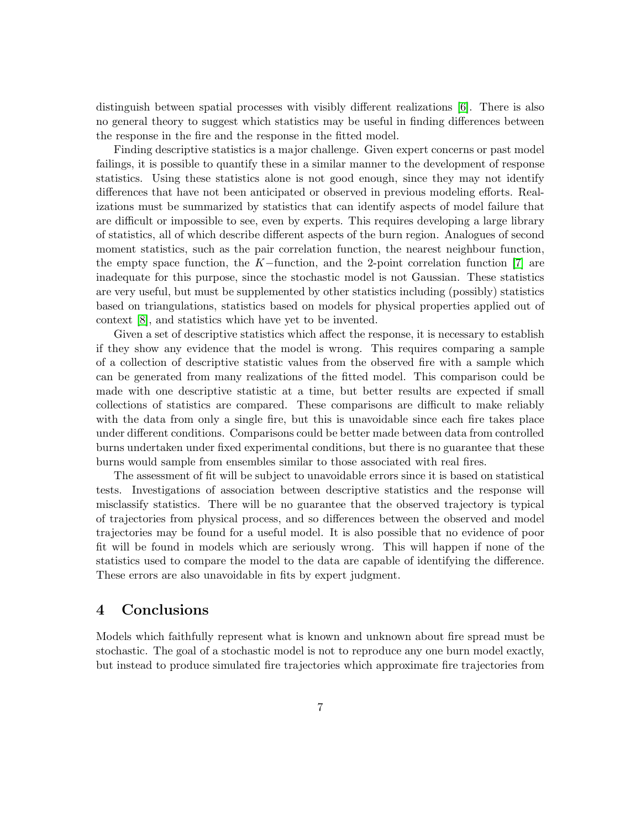distinguish between spatial processes with visibly different realizations [\[6\]](#page-8-3). There is also no general theory to suggest which statistics may be useful in finding differences between the response in the fire and the response in the fitted model.

Finding descriptive statistics is a major challenge. Given expert concerns or past model failings, it is possible to quantify these in a similar manner to the development of response statistics. Using these statistics alone is not good enough, since they may not identify differences that have not been anticipated or observed in previous modeling efforts. Realizations must be summarized by statistics that can identify aspects of model failure that are difficult or impossible to see, even by experts. This requires developing a large library of statistics, all of which describe different aspects of the burn region. Analogues of second moment statistics, such as the pair correlation function, the nearest neighbour function, the empty space function, the K−function, and the 2-point correlation function [\[7\]](#page-8-4) are inadequate for this purpose, since the stochastic model is not Gaussian. These statistics are very useful, but must be supplemented by other statistics including (possibly) statistics based on triangulations, statistics based on models for physical properties applied out of context [\[8\]](#page-8-5), and statistics which have yet to be invented.

Given a set of descriptive statistics which affect the response, it is necessary to establish if they show any evidence that the model is wrong. This requires comparing a sample of a collection of descriptive statistic values from the observed fire with a sample which can be generated from many realizations of the fitted model. This comparison could be made with one descriptive statistic at a time, but better results are expected if small collections of statistics are compared. These comparisons are difficult to make reliably with the data from only a single fire, but this is unavoidable since each fire takes place under different conditions. Comparisons could be better made between data from controlled burns undertaken under fixed experimental conditions, but there is no guarantee that these burns would sample from ensembles similar to those associated with real fires.

The assessment of fit will be subject to unavoidable errors since it is based on statistical tests. Investigations of association between descriptive statistics and the response will misclassify statistics. There will be no guarantee that the observed trajectory is typical of trajectories from physical process, and so differences between the observed and model trajectories may be found for a useful model. It is also possible that no evidence of poor fit will be found in models which are seriously wrong. This will happen if none of the statistics used to compare the model to the data are capable of identifying the difference. These errors are also unavoidable in fits by expert judgment.

## 4 Conclusions

Models which faithfully represent what is known and unknown about fire spread must be stochastic. The goal of a stochastic model is not to reproduce any one burn model exactly, but instead to produce simulated fire trajectories which approximate fire trajectories from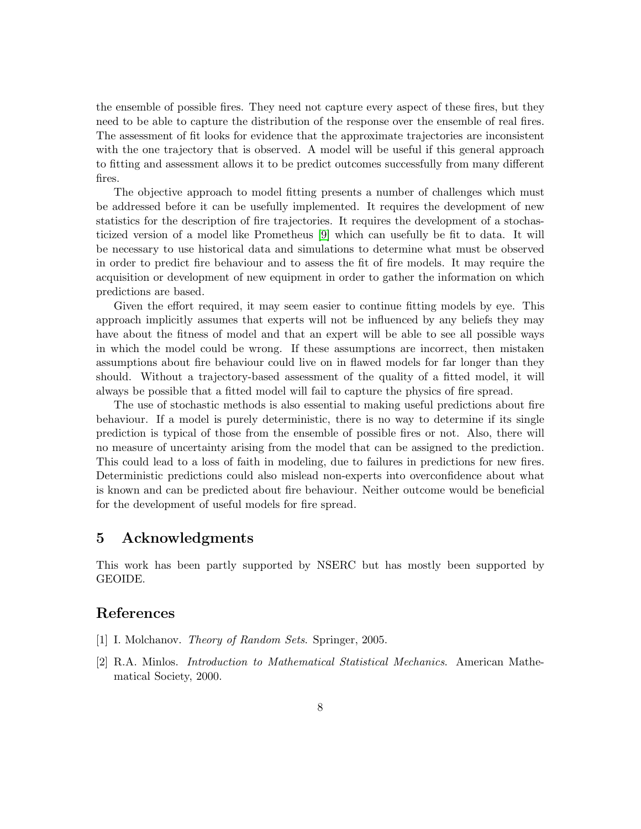the ensemble of possible fires. They need not capture every aspect of these fires, but they need to be able to capture the distribution of the response over the ensemble of real fires. The assessment of fit looks for evidence that the approximate trajectories are inconsistent with the one trajectory that is observed. A model will be useful if this general approach to fitting and assessment allows it to be predict outcomes successfully from many different fires.

The objective approach to model fitting presents a number of challenges which must be addressed before it can be usefully implemented. It requires the development of new statistics for the description of fire trajectories. It requires the development of a stochasticized version of a model like Prometheus [\[9\]](#page-8-6) which can usefully be fit to data. It will be necessary to use historical data and simulations to determine what must be observed in order to predict fire behaviour and to assess the fit of fire models. It may require the acquisition or development of new equipment in order to gather the information on which predictions are based.

Given the effort required, it may seem easier to continue fitting models by eye. This approach implicitly assumes that experts will not be influenced by any beliefs they may have about the fitness of model and that an expert will be able to see all possible ways in which the model could be wrong. If these assumptions are incorrect, then mistaken assumptions about fire behaviour could live on in flawed models for far longer than they should. Without a trajectory-based assessment of the quality of a fitted model, it will always be possible that a fitted model will fail to capture the physics of fire spread.

The use of stochastic methods is also essential to making useful predictions about fire behaviour. If a model is purely deterministic, there is no way to determine if its single prediction is typical of those from the ensemble of possible fires or not. Also, there will no measure of uncertainty arising from the model that can be assigned to the prediction. This could lead to a loss of faith in modeling, due to failures in predictions for new fires. Deterministic predictions could also mislead non-experts into overconfidence about what is known and can be predicted about fire behaviour. Neither outcome would be beneficial for the development of useful models for fire spread.

### 5 Acknowledgments

This work has been partly supported by NSERC but has mostly been supported by GEOIDE.

### <span id="page-7-0"></span>References

- <span id="page-7-1"></span>[1] I. Molchanov. Theory of Random Sets. Springer, 2005.
- [2] R.A. Minlos. Introduction to Mathematical Statistical Mechanics. American Mathematical Society, 2000.